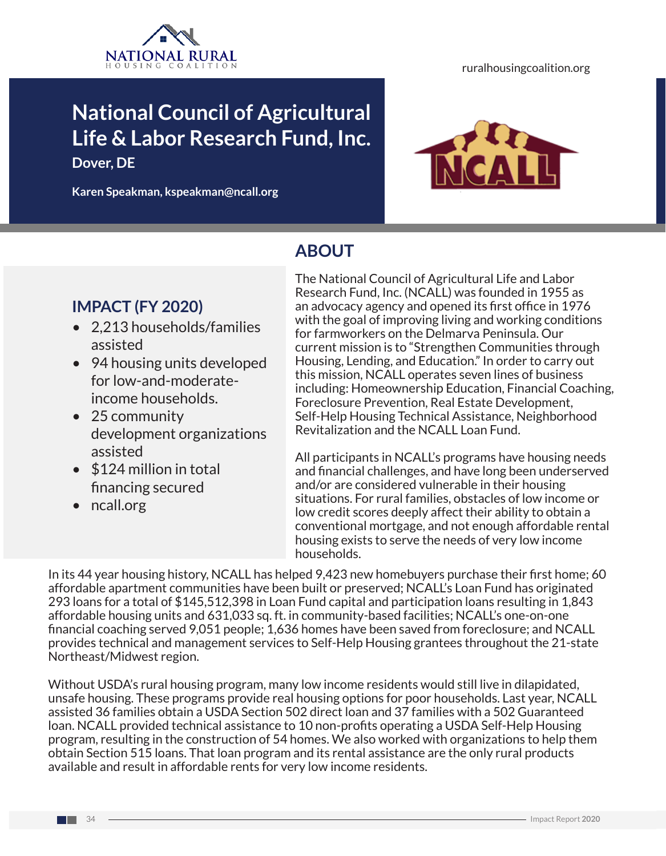

# **National Council of Agricultural Life & Labor Research Fund, Inc.**

**Dover, DE** 

**Karen Speakman, kspeakman@ncall.org**



## **ABOUT**

### **IMPACT (FY 2020)**

- 2,213 households/families assisted
- 94 housing units developed for low-and-moderateincome households.
- 25 community development organizations assisted
- \$124 million in total financing secured
- ncall.org

The National Council of Agricultural Life and Labor Research Fund, Inc. (NCALL) was founded in 1955 as an advocacy agency and opened its first office in 1976 with the goal of improving living and working conditions for farmworkers on the Delmarva Peninsula. Our current mission is to "Strengthen Communities through Housing, Lending, and Education." In order to carry out this mission, NCALL operates seven lines of business including: Homeownership Education, Financial Coaching, Foreclosure Prevention, Real Estate Development, Self-Help Housing Technical Assistance, Neighborhood Revitalization and the NCALL Loan Fund.

All participants in NCALL's programs have housing needs and financial challenges, and have long been underserved and/or are considered vulnerable in their housing situations. For rural families, obstacles of low income or low credit scores deeply affect their ability to obtain a conventional mortgage, and not enough affordable rental housing exists to serve the needs of very low income households.

In its 44 year housing history, NCALL has helped 9,423 new homebuyers purchase their first home; 60 affordable apartment communities have been built or preserved; NCALL's Loan Fund has originated 293 loans for a total of \$145,512,398 in Loan Fund capital and participation loans resulting in 1,843 affordable housing units and 631,033 sq. ft. in community-based facilities; NCALL's one-on-one financial coaching served 9,051 people; 1,636 homes have been saved from foreclosure; and NCALL provides technical and management services to Self-Help Housing grantees throughout the 21-state Northeast/Midwest region.

Without USDA's rural housing program, many low income residents would still live in dilapidated, unsafe housing. These programs provide real housing options for poor households. Last year, NCALL assisted 36 families obtain a USDA Section 502 direct loan and 37 families with a 502 Guaranteed loan. NCALL provided technical assistance to 10 non-profits operating a USDA Self-Help Housing program, resulting in the construction of 54 homes. We also worked with organizations to help them obtain Section 515 loans. That loan program and its rental assistance are the only rural products available and result in affordable rents for very low income residents.